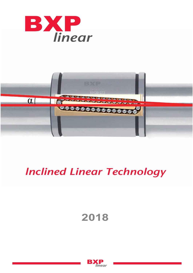



# *lnclined Linear Technology*

# **2018**

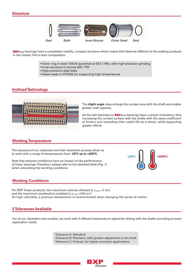

**BXP**linear bearings have a completely metallic, compact structure which makes their features different to the existing products in the market. This is their composition:

- 100Cr6 quenched at 63±
- Inner structure in bronze DIN 1705
- · High-precision steel balls
- Seals made in VITON® for supporting high temperatures

## **Inclined Technology**



The **slight angle** does enlarge the contact area with the shaft and enable greater load capacity.

All the ball channels on **BXP**linear bearings have a certain inclination, thus increasing the contact surface with the shafts with the same coefficient of friction and extending their useful life as a whole, while supporting greater efforts.

#### **Working Temperature**

The structure of our materials and their treatment process allow us to work with a range of temperatures from **-20ºC up to +200ºC.**

Note that extreme conditions have an impact on the performance of linear bearings.Therefore, please refer to the attached table (Fig. 1) when calculating the working conditions.



#### **Working Conditions**

For BXP linear products, the maximum velocity allowed is  $v_{max} = 5$  m/s and the maximum acceleration enabled is  $a_{max}$ =100 m/s<sup>2</sup> for high velocities, a previous deceleration is recommended when changing the sense of motion.

#### **3 Tolerances Available**

For all our diameters and models, we work with 3 different tolerances to adjust the sliding with the shafts according to every application needs.

> Tolerance A: Standard Tolerance B: Precision, with greater adjustment to the shaft Tolerance C: Preload, for higher precision applications

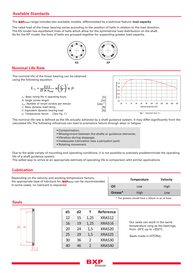# **Available Standards**

The **BXP** linear range includes two available models, differentiated by a technical feature: **load capacity.** 

The rated load of the linear bearing varies according to the position of balls in relation to the load direction. The KS model has equidistant lines of balls which allow for the symmetrical load distribution on the shaft. As for the KP model, the lines of balls are grouped together for supporting greater load capacity.



#### **Nominal Life Rate**

The nominal life of the linear bearing can be obtained using the following equation:

$$
L_h = \frac{833}{H \times n_{ose}} \times \left(\frac{C}{P}\right)^3 \times fr
$$

 $L_h$ : Basic rating life in operating hours

H: Single stroke length

 $n_{osc}$ : Number of return strokes per minute

- C: Basic dynamic load rating
- P: Equivalent dynamic bearing load

 $f<sub>T</sub>$ : Temperature factor. (See Fig. 1)



The nominal life rate is defined as the life actually achieved by a shaft guidance system. It may differ significantly from the calculated life. The following influences can lead to premature failure through wear or fatigue:

- Contamination.
- Misalignment between the shafts or guidance elements.
- Vibration during stoppage.
- Inadequate lubrication (see Lubrication part).
- Rotating movement.

Due to the wide variety of mounting and operating conditions, it is not possible to precisely predeterminate the operating life of a shaft guidance system.

The safest way to arrive at an appropriate estimate of operating life is comparison whit similar applications.

#### **Lubrication**

Depending on the velocity and working temperature factors, the appropriate type of lubricant for **BXP**linear can be recommended. In some cases, no lubricant is requiered.

|         | Temperature | <b>Velocity</b> |
|---------|-------------|-----------------|
| Oil     | Low         | High            |
| Grease* | High        | Low             |

\* The greases should have a lithium or an oil base.

| d1<br>d2<br>Reference<br>т          |  |
|-------------------------------------|--|
|                                     |  |
| XRAS12<br>12<br>15<br>1,25          |  |
| XRAS16<br>16<br>19<br>1,25          |  |
| 20<br>XRAS20<br>24<br>1,5           |  |
| XRAS25<br>25<br>29<br>1,5           |  |
| XRAS30<br>30<br>36<br>2             |  |
| XRAS40<br>$\mathcal{P}$<br>46<br>40 |  |

Our seals can work in the same temperature rang as the bearings, from -20 $\mathrm{^{\circ}C}$  up to +200 $\mathrm{^{\circ}C}$ .

Seals made in VITON®.

#### **Seals**



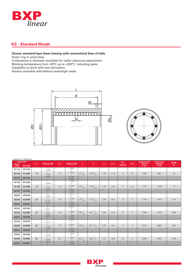

## **KS - Standard Model**

#### **Closed, standard-type linear bearing with symmetrical lines of balls.**

Outer ring in solid steel.

measures in milimeters

3 tolerances in diameter available for radial clearance adjustment. Working temperature from -20ºC up to +200ºC, including seals. Capability to work with low lubrication.

Version available with/without watertight seals.





| without<br>Seals | Article Ref.<br>with Seals | Ød | <b>Tolerance Ød</b>                  | ØD | <b>Tolerance ØD</b>                        | L.                        | B                           | W    | ØD1  | Nr.<br><b>Strokes</b> | Øb             | <b>Dynamic Load</b><br>Capacity<br>C(N) | <b>Static Load</b><br>Capacity<br>$C_0(N)$ | Weight<br>gr. |
|------------------|----------------------------|----|--------------------------------------|----|--------------------------------------------|---------------------------|-----------------------------|------|------|-----------------------|----------------|-----------------------------------------|--------------------------------------------|---------------|
| <b>KS12A</b>     | KS12AR                     |    | $\Omega$<br>$+0,008$                 |    | $-0,009$                                   |                           |                             |      |      |                       |                |                                         |                                            |               |
| <b>KS12B</b>     | KS12BR                     | 12 | $\mathbf{0}$                         | 22 | $\circ$<br>$-0,005$                        | $32^{0}_{-0,2}$           | 22,9 $^{0}_{-0,2}$          | 1,30 | 21,0 | 6                     | 2,5            | 580                                     | 895                                        | 52            |
| <b>KS12C</b>     | KS12CR                     |    | $+0,004$<br>$-0,004$<br>$\mathbf{0}$ |    | $\circ$<br>$-0,002$<br>$+0,002$            |                           |                             |      |      |                       |                |                                         |                                            |               |
| KS16A            | KS16AR                     |    | $\mathsf{O}\xspace$                  |    | $-0,009$                                   |                           |                             |      |      |                       |                |                                         |                                            |               |
| <b>KS16B</b>     | KS16BR                     | 16 | $+0,009$<br>$\mathbf{0}$<br>$+0,005$ | 26 | $\mathsf{O}\xspace$<br>$-0,005$<br>$\circ$ | $36^{0}_{-0,2}$           | 24,9 $^{0}_{-0,2}$          | 1,30 | 24,9 | 6                     | 2,5            | 770                                     | 1180                                       | 75            |
| <b>KS16C</b>     | KS16CR                     |    | $-0,004$<br>$\circ$                  |    | $-0,002$<br>$+0,002$                       |                           |                             |      |      |                       |                |                                         |                                            |               |
| KS20A            | <b>KS20AR</b>              |    | $\circ$<br>$+0,009$                  |    | $-0,011$<br>$\circ$                        |                           |                             |      |      |                       |                |                                         |                                            |               |
| KS20B            | KS20BR                     | 20 | $\circ$<br>$+0,005$                  | 32 | $-0,006$                                   | 45 $^{0}$ <sub>-0,2</sub> | $31,5^{0}_{-0,2}$           | 1,60 | 30,3 | 6                     | 3              | 1190                                    | 1910                                       | 140           |
| <b>KS20C</b>     | <b>KS20CR</b>              |    | $-0,004$<br>$\circ$                  |    | $-0,002$<br>$+0,002$                       |                           |                             |      |      |                       |                |                                         |                                            |               |
| KS25A            | KS25AR                     |    | $\mathbb O$<br>$+0,011$              |    | $-0,011$<br>$\circ$                        |                           |                             |      |      |                       |                |                                         |                                            |               |
| KS25B            | KS25BR                     | 25 | $\circ$<br>$+0,006$                  | 40 | $-0,006$<br>$\circ$                        | $158^{0}$                 | 44,1 $^{0}_{-0,3}$          | 1,85 | 37,5 | 8                     | 3              | 1690                                    | 2720                                       | 298           |
| <b>KS25C</b>     | KS25CR                     |    | $-0,004$<br>$\mathbf{0}$             |    | $-0,003$<br>$+0,003$                       |                           |                             |      |      |                       |                |                                         |                                            |               |
| KS30A            | KS30AR                     |    | $\circ$<br>$+0,011$                  |    | $-0,013$<br>$\circ$                        |                           |                             |      |      |                       |                |                                         |                                            |               |
| KS30B            | <b>KS30BR</b>              | 30 | $\circ$<br>$+0,006$                  | 47 | $-0,007$<br>$\circ$                        | $68^{0}$                  | 52,1 $^{0}$ <sub>-0,3</sub> | 1,85 | 44,5 | 8                     | $\overline{4}$ | 2210                                    | 3880                                       | 445           |
| <b>KS30C</b>     | <b>KS30CR</b>              |    | $-0,005$<br>$\overline{0}$           |    | $-0,003$<br>$+0,003$                       |                           |                             |      |      |                       |                |                                         |                                            |               |
| KS40A            | KS40AR                     |    | $\circ$<br>$+0,013$                  |    | $-0,013$<br>$\circ$                        |                           |                             |      |      |                       |                |                                         |                                            |               |
| KS40B            | <b>KS40BR</b>              | 40 | $\circ$<br>$+0,006$                  | 62 | $-0,007$<br>$\circ$                        | $80^{0}$ <sub>-0,3</sub>  | 60,6 $^{0}_{-0,3}$          | 2,15 | 59,0 | 8                     | $\overline{4}$ | 2640                                    | 4620                                       | 1025          |
| <b>KS40C</b>     | <b>KS40CR</b>              |    | $-0,005$<br>$\circ$                  |    | $-0,003$<br>$+0,003$                       |                           |                             |      |      |                       |                |                                         |                                            |               |

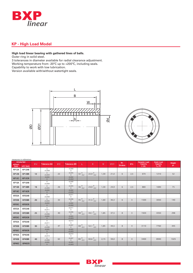

# **KP - High Load Model**

#### **High load linear bearing with gathered lines of balls.**

Outer ring in solid steel.

3 tolerances in diameter available for radial clearance adjustment. Working temperature from -20ºC up to +200ºC, including seals. Capability to work with low lubrication.

Version available with/without watertight seals.





| measures in milimeters |               |    |                                 |    |                                 |                           |                    |      |      |                |                |                     |                      |        |
|------------------------|---------------|----|---------------------------------|----|---------------------------------|---------------------------|--------------------|------|------|----------------|----------------|---------------------|----------------------|--------|
|                        | Article Ref.  |    |                                 |    |                                 |                           |                    |      |      | Nr.            |                | <b>Dynamic Load</b> | <b>Static Load</b>   | Weight |
| without<br>Seals       | with Seals    | Ød | <b>Tolerance Ød</b>             | ØD | <b>Tolerance ØD</b>             | L.                        | B                  | W    | ØD1  | <b>Strokes</b> | Øb             | Capacity<br>C(N)    | Capacity<br>$C_0(N)$ | gr.    |
| <b>KP12A</b>           | KP12AR        |    | $\circ$                         |    | $-0,009$                        |                           |                    |      |      |                |                |                     |                      |        |
|                        |               |    | $+0,008$<br>$\mathbb O$         |    | $\circ$<br>$-0,005$             |                           |                    |      |      |                |                |                     |                      |        |
| KP12B                  | KP12BR        | 12 | $+0,004$                        | 22 | $\circ$                         | $32^{0}_{-0,2}$           | 22,9 $^{0}_{-0,2}$ | 1,30 | 21,0 | 6              | 2,5            | 670                 | 1210                 | 52     |
| <b>KP12C</b>           | KP12CR        |    | $-0,004$<br>$\circ$             |    | $-0,002$<br>$+0,002$            |                           |                    |      |      |                |                |                     |                      |        |
| KP16A                  | KP16AR        |    | $\circ$<br>$+0,009$             |    | $-0,009$<br>$\mathsf{O}\xspace$ |                           |                    |      |      |                |                |                     |                      |        |
| KP16B                  | KP16BR        | 16 | $\circ$<br>$+0,005$             | 26 | $-0,005$<br>$\mathbf{0}$        | $36^{0}_{-0,2}$           | 24,9 $^{0}_{-0,2}$ | 1,30 | 24,9 | 6              | 2,5            | 880                 | 1690                 | 75     |
| <b>KP16C</b>           | KP16CR        |    | $-0,004$<br>$\circ$             |    | $-0,002$<br>$+0,002$            |                           |                    |      |      |                |                |                     |                      |        |
| KP20A                  | KP20AR        |    | $\circ$<br>$+0,009$             |    | $-0,011$<br>$\circ$             |                           |                    |      |      |                |                |                     |                      |        |
| KP20B                  | KP20BR        | 20 | $\mathbf{0}$<br>$+0.005$        | 32 | $-0,006$<br>$\circ$             | $45^{0}$<br>-0,2          | $31,5^{0}_{-0,2}$  | 1,60 | 30.3 | 6              | 3              | 1500                | 3050                 | 140    |
| <b>KP20C</b>           | <b>KP20CR</b> |    | $-0,004$<br>$\mathsf{O}\xspace$ |    | $-0,002$<br>$+0,002$            |                           |                    |      |      |                |                |                     |                      |        |
| <b>KP25A</b>           | KP25AR        |    | $\circ$<br>$+0,011$             |    | $-0,011$<br>$\circ$             |                           |                    |      |      |                |                |                     |                      |        |
| <b>KP25B</b>           | KP25BR        | 25 | $\mathbb O$<br>$+0,006$         | 40 | $-0,006$<br>$\circ$             | 58 $^{0}$ <sub>-0,3</sub> | 44,1 $^{0}_{-0,3}$ | 1,85 | 37,5 | 8              | $\overline{3}$ | 1920                | 4350                 | 298    |
| <b>KP25C</b>           | KP25CR        |    | $-0,004$<br>$\mathsf{O}$        |    | $-0,003$<br>$+0,003$            |                           |                    |      |      |                |                |                     |                      |        |
| KP30A                  | KP30AR        |    | $\circ$<br>$+0,011$             |    | $-0,013$<br>$\circ$             |                           |                    |      |      |                |                |                     |                      |        |
| KP30B                  | KP30BR        | 30 | $\circ$<br>$+0,006$             | 47 | $-0,007$<br>$\circ$             | 68 $_{-0,3}^{0}$          | 52,1 $^{0}_{-0,3}$ | 1,85 | 44,5 | 8              | $\overline{4}$ | 3110                | 7760                 | 445    |
| <b>KP30C</b>           | KP30CR        |    | $-0,005$<br>$\circ$             |    | $-0,003$<br>$+0,003$            |                           |                    |      |      |                |                |                     |                      |        |
| KP40A                  | KP40AR        |    | $\mathbb O$<br>$+0,013$         |    | $-0,013$<br>$\mathsf{O}\xspace$ |                           |                    |      |      |                |                |                     |                      |        |
| KP40B                  | KP40BR        | 40 | $\circ$<br>$+0,006$             | 62 | $-0,007$<br>$\circ$             | $80^{0}_{-0,3}$           | $60,6^{0}_{-0,3}$  | 2,15 | 59,0 | 8              | $\overline{4}$ | 3400                | 8940                 | 1025   |
| <b>KP40C</b>           | KP40CR        |    | $-0,005$<br>$\mathbf{0}$        |    | $-0,003$<br>$+0,003$            |                           |                    |      |      |                |                |                     |                      |        |